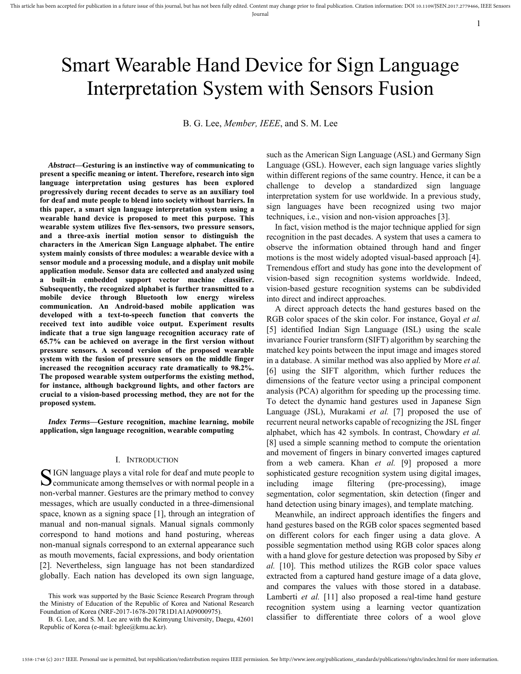# Smart Wearable Hand Device for Sign Language Interpretation System with Sensors Fusion

B. G. Lee, *Member, IEEE*, and S. M. Lee

*Abstract***—Gesturing is an instinctive way of communicating to present a specific meaning or intent. Therefore, research into sign language interpretation using gestures has been explored progressively during recent decades to serve as an auxiliary tool for deaf and mute people to blend into society without barriers. In this paper, a smart sign language interpretation system using a wearable hand device is proposed to meet this purpose. This wearable system utilizes five flex-sensors, two pressure sensors, and a three-axis inertial motion sensor to distinguish the characters in the American Sign Language alphabet. The entire system mainly consists of three modules: a wearable device with a sensor module and a processing module, and a display unit mobile application module. Sensor data are collected and analyzed using a built-in embedded support vector machine classifier. Subsequently, the recognized alphabet is further transmitted to a mobile device through Bluetooth low energy wireless communication. An Android-based mobile application was developed with a text-to-speech function that converts the received text into audible voice output. Experiment results indicate that a true sign language recognition accuracy rate of 65.7% can be achieved on average in the first version without pressure sensors. A second version of the proposed wearable system with the fusion of pressure sensors on the middle finger increased the recognition accuracy rate dramatically to 98.2%. The proposed wearable system outperforms the existing method, for instance, although background lights, and other factors are crucial to a vision-based processing method, they are not for the proposed system.**

*Index Terms***—Gesture recognition, machine learning, mobile application, sign language recognition, wearable computing**

#### I. INTRODUCTION

SIGN language plays a vital role for deaf and mute people to communicate among themselves or with normal people in a  $\sum$  communicate among themselves or with normal people in a non-verbal manner. Gestures are the primary method to convey messages, which are usually conducted in a three-dimensional space, known as a signing space [1], through an integration of manual and non-manual signals. Manual signals commonly correspond to hand motions and hand posturing, whereas non-manual signals correspond to an external appearance such as mouth movements, facial expressions, and body orientation [2]. Nevertheless, sign language has not been standardized globally. Each nation has developed its own sign language,

such as the American Sign Language (ASL) and Germany Sign Language (GSL). However, each sign language varies slightly within different regions of the same country. Hence, it can be a challenge to develop a standardized sign language interpretation system for use worldwide. In a previous study, sign languages have been recognized using two major techniques, i.e., vision and non-vision approaches [3].

1

In fact, vision method is the major technique applied for sign recognition in the past decades. A system that uses a camera to observe the information obtained through hand and finger motions is the most widely adopted visual-based approach [4]. Tremendous effort and study has gone into the development of vision-based sign recognition systems worldwide. Indeed, vision-based gesture recognition systems can be subdivided into direct and indirect approaches.

A direct approach detects the hand gestures based on the RGB color spaces of the skin color. For instance, Goyal *et al.* [5] identified Indian Sign Language (ISL) using the scale invariance Fourier transform (SIFT) algorithm by searching the matched key points between the input image and images stored in a database. A similar method was also applied by More *et al.* [6] using the SIFT algorithm, which further reduces the dimensions of the feature vector using a principal component analysis (PCA) algorithm for speeding up the processing time. To detect the dynamic hand gestures used in Japanese Sign Language (JSL), Murakami *et al.* [7] proposed the use of recurrent neural networks capable of recognizing the JSL finger alphabet, which has 42 symbols. In contrast, Chowdary *et al.* [8] used a simple scanning method to compute the orientation and movement of fingers in binary converted images captured from a web camera. Khan *et al.* [9] proposed a more sophisticated gesture recognition system using digital images, including image filtering (pre-processing), image segmentation, color segmentation, skin detection (finger and hand detection using binary images), and template matching.

Meanwhile, an indirect approach identifies the fingers and hand gestures based on the RGB color spaces segmented based on different colors for each finger using a data glove. A possible segmentation method using RGB color spaces along with a hand glove for gesture detection was proposed by Siby *et al.* [10]. This method utilizes the RGB color space values extracted from a captured hand gesture image of a data glove, and compares the values with those stored in a database. Lamberti *et al.* [11] also proposed a real-time hand gesture recognition system using a learning vector quantization classifier to differentiate three colors of a wool glove

This work was supported by the Basic Science Research Program through the Ministry of Education of the Republic of Korea and National Research Foundation of Korea (NRF-2017-1678-2017R1D1A1A09000975).

B. G. Lee, and S. M. Lee are with the Keimyung University, Daegu, 42601 Republic of Korea (e-mail: bglee@kmu.ac.kr).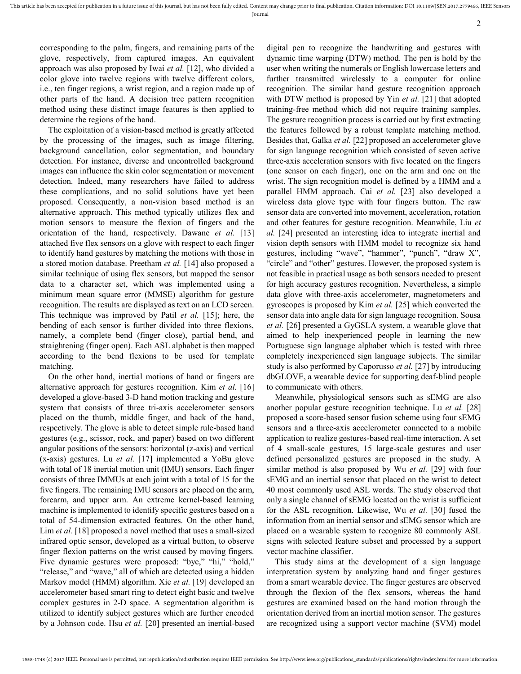corresponding to the palm, fingers, and remaining parts of the glove, respectively, from captured images. An equivalent approach was also proposed by Iwai *et al.* [12], who divided a color glove into twelve regions with twelve different colors, i.e., ten finger regions, a wrist region, and a region made up of other parts of the hand. A decision tree pattern recognition method using these distinct image features is then applied to determine the regions of the hand.

The exploitation of a vision-based method is greatly affected by the processing of the images, such as image filtering, background cancellation, color segmentation, and boundary detection. For instance, diverse and uncontrolled background images can influence the skin color segmentation or movement detection. Indeed, many researchers have failed to address these complications, and no solid solutions have yet been proposed. Consequently, a non-vision based method is an alternative approach. This method typically utilizes flex and motion sensors to measure the flexion of fingers and the orientation of the hand, respectively. Dawane *et al.* [13] attached five flex sensors on a glove with respect to each finger to identify hand gestures by matching the motions with those in a stored motion database. Preetham *et al.* [14] also proposed a similar technique of using flex sensors, but mapped the sensor data to a character set, which was implemented using a minimum mean square error (MMSE) algorithm for gesture recognition. The results are displayed as text on an LCD screen. This technique was improved by Patil *et al.* [15]; here, the bending of each sensor is further divided into three flexions, namely, a complete bend (finger close), partial bend, and straightening (finger open). Each ASL alphabet is then mapped according to the bend flexions to be used for template matching.

On the other hand, inertial motions of hand or fingers are alternative approach for gestures recognition. Kim *et al.* [16] developed a glove-based 3-D hand motion tracking and gesture system that consists of three tri-axis accelerometer sensors placed on the thumb, middle finger, and back of the hand, respectively. The glove is able to detect simple rule-based hand gestures (e.g., scissor, rock, and paper) based on two different angular positions of the sensors: horizontal (z-axis) and vertical (x-axis) gestures. Lu *et al.* [17] implemented a YoBu glove with total of 18 inertial motion unit (IMU) sensors. Each finger consists of three IMMUs at each joint with a total of 15 for the five fingers. The remaining IMU sensors are placed on the arm, forearm, and upper arm. An extreme kernel-based learning machine is implemented to identify specific gestures based on a total of 54-dimension extracted features. On the other hand, Lim *et al.* [18] proposed a novel method that uses a small-sized infrared optic sensor, developed as a virtual button, to observe finger flexion patterns on the wrist caused by moving fingers. Five dynamic gestures were proposed: "bye," "hi," "hold," "release," and "wave," all of which are detected using a hidden Markov model (HMM) algorithm. Xie *et al.* [19] developed an accelerometer based smart ring to detect eight basic and twelve complex gestures in 2-D space. A segmentation algorithm is utilized to identify subject gestures which are further encoded by a Johnson code. Hsu *et al.* [20] presented an inertial-based digital pen to recognize the handwriting and gestures with dynamic time warping (DTW) method. The pen is hold by the user when writing the numerals or English lowercase letters and further transmitted wirelessly to a computer for online recognition. The similar hand gesture recognition approach with DTW method is proposed by Yin *et al.* [21] that adopted training-free method which did not require training samples. The gesture recognition process is carried out by first extracting the features followed by a robust template matching method. Besides that, Galka *et al.* [22] proposed an accelerometer glove for sign language recognition which consisted of seven active three-axis acceleration sensors with five located on the fingers (one sensor on each finger), one on the arm and one on the wrist. The sign recognition model is defined by a HMM and a parallel HMM approach. Cai *et al.* [23] also developed a wireless data glove type with four fingers button. The raw sensor data are converted into movement, acceleration, rotation and other features for gesture recognition. Meanwhile, Liu *et al.* [24] presented an interesting idea to integrate inertial and vision depth sensors with HMM model to recognize six hand gestures, including "wave", "hammer", "punch", "draw X", "circle" and "other" gestures. However, the proposed system is not feasible in practical usage as both sensors needed to present for high accuracy gestures recognition. Nevertheless, a simple data glove with three-axis accelerometer, magnetometers and gyroscopes is proposed by Kim *et al.* [25] which converted the sensor data into angle data for sign language recognition. Sousa *et al.* [26] presented a GyGSLA system, a wearable glove that aimed to help inexperienced people in learning the new Portuguese sign language alphabet which is tested with three completely inexperienced sign language subjects. The similar study is also performed by Caporusso *et al.* [27] by introducing dbGLOVE, a wearable device for supporting deaf-blind people to communicate with others.

Meanwhile, physiological sensors such as sEMG are also another popular gesture recognition technique. Lu *et al.* [28] proposed a score-based sensor fusion scheme using four sEMG sensors and a three-axis accelerometer connected to a mobile application to realize gestures-based real-time interaction. A set of 4 small-scale gestures, 15 large-scale gestures and user defined personalized gestures are proposed in the study. A similar method is also proposed by Wu *et al.* [29] with four sEMG and an inertial sensor that placed on the wrist to detect 40 most commonly used ASL words. The study observed that only a single channel of sEMG located on the wrist is sufficient for the ASL recognition. Likewise, Wu *et al.* [30] fused the information from an inertial sensor and sEMG sensor which are placed on a wearable system to recognize 80 commonly ASL signs with selected feature subset and processed by a support vector machine classifier.

This study aims at the development of a sign language interpretation system by analyzing hand and finger gestures from a smart wearable device. The finger gestures are observed through the flexion of the flex sensors, whereas the hand gestures are examined based on the hand motion through the orientation derived from an inertial motion sensor. The gestures are recognized using a support vector machine (SVM) model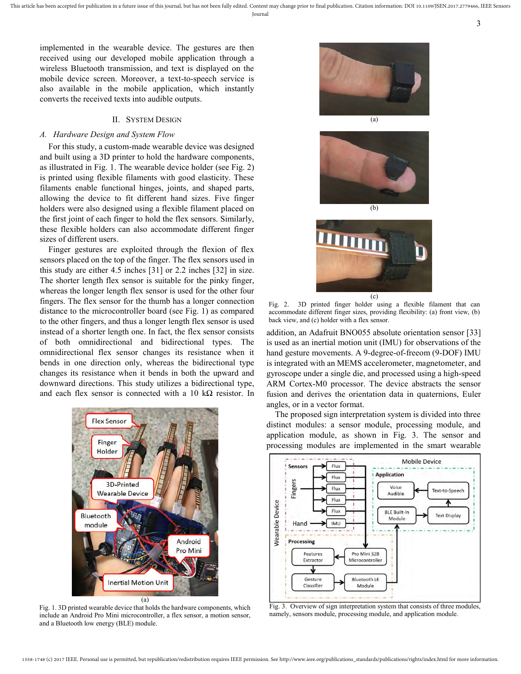implemented in the wearable device. The gestures are then received using our developed mobile application through a wireless Bluetooth transmission, and text is displayed on the mobile device screen. Moreover, a text-to-speech service is also available in the mobile application, which instantly converts the received texts into audible outputs.

## II. SYSTEM DESIGN

# *A. Hardware Design and System Flow*

For this study, a custom-made wearable device was designed and built using a 3D printer to hold the hardware components, as illustrated in Fig. 1. The wearable device holder (see Fig. 2) is printed using flexible filaments with good elasticity. These filaments enable functional hinges, joints, and shaped parts, allowing the device to fit different hand sizes. Five finger holders were also designed using a flexible filament placed on the first joint of each finger to hold the flex sensors. Similarly, these flexible holders can also accommodate different finger sizes of different users.

Finger gestures are exploited through the flexion of flex sensors placed on the top of the finger. The flex sensors used in this study are either 4.5 inches [31] or 2.2 inches [32] in size. The shorter length flex sensor is suitable for the pinky finger, whereas the longer length flex sensor is used for the other four fingers. The flex sensor for the thumb has a longer connection distance to the microcontroller board (see Fig. 1) as compared to the other fingers, and thus a longer length flex sensor is used instead of a shorter length one. In fact, the flex sensor consists of both omnidirectional and bidirectional types. The omnidirectional flex sensor changes its resistance when it bends in one direction only, whereas the bidirectional type changes its resistance when it bends in both the upward and downward directions. This study utilizes a bidirectional type, and each flex sensor is connected with a 10 k $\Omega$  resistor. In



Fig. 1. 3D printed wearable device that holds the hardware components, which include an Android Pro Mini microcontroller, a flex sensor, a motion sensor, and a Bluetooth low energy (BLE) module.



3



(b)



Fig. 2. 3D printed finger holder using a flexible filament that can accommodate different finger sizes, providing flexibility: (a) front view, (b) back view, and (c) holder with a flex sensor.

addition, an Adafruit BNO055 absolute orientation sensor [33] is used as an inertial motion unit (IMU) for observations of the hand gesture movements. A 9-degree-of-freeom (9-DOF) IMU is integrated with an MEMS accelerometer, magnetometer, and gyroscope under a single die, and processed using a high-speed ARM Cortex-M0 processor. The device abstracts the sensor fusion and derives the orientation data in quaternions, Euler angles, or in a vector format.

The proposed sign interpretation system is divided into three distinct modules: a sensor module, processing module, and application module, as shown in Fig. 3. The sensor and processing modules are implemented in the smart wearable



Fig. 3. Overview of sign interpretation system that consists of three modules, namely, sensors module, processing module, and application module.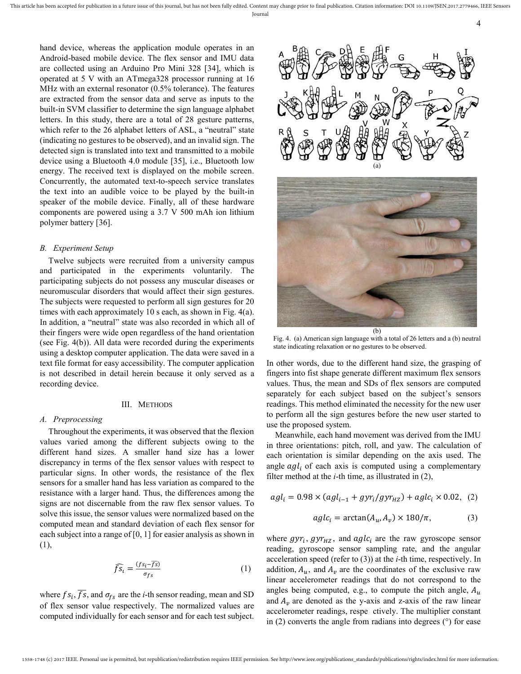hand device, whereas the application module operates in an Android-based mobile device. The flex sensor and IMU data are collected using an Arduino Pro Mini 328 [34], which is operated at 5 V with an ATmega328 processor running at 16 MHz with an external resonator (0.5% tolerance). The features are extracted from the sensor data and serve as inputs to the built-in SVM classifier to determine the sign language alphabet letters. In this study, there are a total of 28 gesture patterns, which refer to the 26 alphabet letters of ASL, a "neutral" state (indicating no gestures to be observed), and an invalid sign. The detected sign is translated into text and transmitted to a mobile device using a Bluetooth 4.0 module [35], i.e., Bluetooth low energy. The received text is displayed on the mobile screen. Concurrently, the automated text-to-speech service translates the text into an audible voice to be played by the built-in speaker of the mobile device. Finally, all of these hardware components are powered using a 3.7 V 500 mAh ion lithium polymer battery [36].

#### *B. Experiment Setup*

Twelve subjects were recruited from a university campus and participated in the experiments voluntarily. The participating subjects do not possess any muscular diseases or neuromuscular disorders that would affect their sign gestures. The subjects were requested to perform all sign gestures for 20 times with each approximately 10 s each, as shown in Fig. 4(a). In addition, a "neutral" state was also recorded in which all of their fingers were wide open regardless of the hand orientation (see Fig. 4(b)). All data were recorded during the experiments using a desktop computer application. The data were saved in a text file format for easy accessibility. The computer application is not described in detail herein because it only served as a recording device.

#### III. METHODS

## *A. Preprocessing*

Throughout the experiments, it was observed that the flexion values varied among the different subjects owing to the different hand sizes. A smaller hand size has a lower discrepancy in terms of the flex sensor values with respect to particular signs. In other words, the resistance of the flex sensors for a smaller hand has less variation as compared to the resistance with a larger hand. Thus, the differences among the signs are not discernable from the raw flex sensor values. To solve this issue, the sensor values were normalized based on the computed mean and standard deviation of each flex sensor for each subject into a range of [0, 1] for easier analysis as shown in (1),

$$
\widehat{f s_i} = \frac{(f s_i - \overline{f s})}{\sigma_{f s}} \tag{1}
$$

where  $fs_i$ ,  $\overline{fs}$ , and  $\sigma_{fs}$  are the *i*-th sensor reading, mean and SD of flex sensor value respectively. The normalized values are computed individually for each sensor and for each test subject.



4



Fig. 4. (a) American sign language with a total of 26 letters and a (b) neutral state indicating relaxation or no gestures to be observed.

In other words, due to the different hand size, the grasping of fingers into fist shape generate different maximum flex sensors values. Thus, the mean and SDs of flex sensors are computed separately for each subject based on the subject's sensors readings. This method eliminated the necessity for the new user to perform all the sign gestures before the new user started to use the proposed system.

Meanwhile, each hand movement was derived from the IMU in three orientations: pitch, roll, and yaw. The calculation of each orientation is similar depending on the axis used. The angle  $\alpha g l_i$  of each axis is computed using a complementary filter method at the *i*-th time, as illustrated in (2),

$$
agl_i = 0.98 \times (agl_{i-1} + gyr_i/gyr_{HZ}) + aglc_i \times 0.02, (2)
$$

$$
aglci = arctan(Au, Av) \times 180/\pi,
$$
 (3)

where  $gyr_i$ ,  $gyr_{HZ}$ , and  $aglc_i$  are the raw gyroscope sensor reading, gyroscope sensor sampling rate, and the angular acceleration speed (refer to (3)) at the *i*-th time, respectively. In addition,  $A_u$ , and  $A_v$  are the coordinates of the exclusive raw linear accelerometer readings that do not correspond to the angles being computed, e.g., to compute the pitch angle,  $A_u$ and  $A<sub>v</sub>$  are denoted as the y-axis and z-axis of the raw linear accelerometer readings, respe ctively. The multiplier constant in  $(2)$  converts the angle from radians into degrees  $(°)$  for ease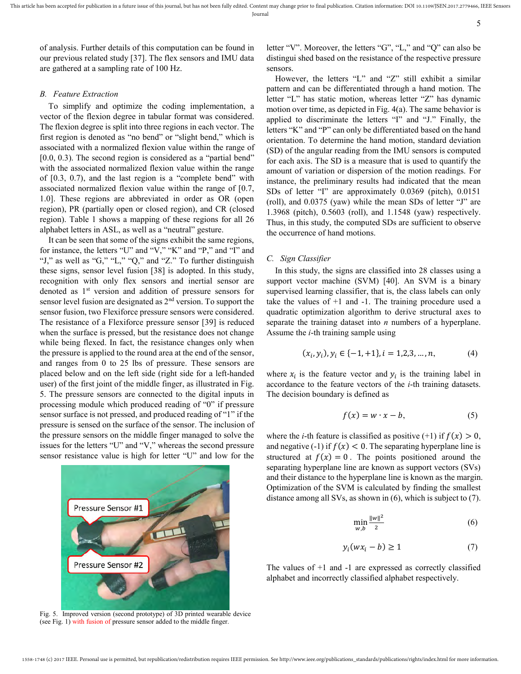of analysis. Further details of this computation can be found in our previous related study [37]. The flex sensors and IMU data are gathered at a sampling rate of 100 Hz.

# *B. Feature Extraction*

To simplify and optimize the coding implementation, a vector of the flexion degree in tabular format was considered. The flexion degree is split into three regions in each vector. The first region is denoted as "no bend" or "slight bend," which is associated with a normalized flexion value within the range of  $[0.0, 0.3)$ . The second region is considered as a "partial bend" with the associated normalized flexion value within the range of [0.3, 0.7), and the last region is a "complete bend" with associated normalized flexion value within the range of [0.7, 1.0]. These regions are abbreviated in order as OR (open region), PR (partially open or closed region), and CR (closed region). Table 1 shows a mapping of these regions for all 26 alphabet letters in ASL, as well as a "neutral" gesture.

It can be seen that some of the signs exhibit the same regions, for instance, the letters "U" and "V," "K" and "P," and "I" and "J," as well as "G," "L," "Q," and "Z." To further distinguish these signs, sensor level fusion [38] is adopted. In this study, recognition with only flex sensors and inertial sensor are denoted as 1st version and addition of pressure sensors for sensor level fusion are designated as 2<sup>nd</sup> version. To support the sensor fusion, two Flexiforce pressure sensors were considered. The resistance of a Flexiforce pressure sensor [39] is reduced when the surface is pressed, but the resistance does not change while being flexed. In fact, the resistance changes only when the pressure is applied to the round area at the end of the sensor, and ranges from 0 to 25 lbs of pressure. These sensors are placed below and on the left side (right side for a left-handed user) of the first joint of the middle finger, as illustrated in Fig. 5. The pressure sensors are connected to the digital inputs in processing module which produced reading of "0" if pressure sensor surface is not pressed, and produced reading of "1" if the pressure is sensed on the surface of the sensor. The inclusion of the pressure sensors on the middle finger managed to solve the issues for the letters "U" and "V," whereas the second pressure sensor resistance value is high for letter "U" and low for the



Fig. 5. Improved version (second prototype) of 3D printed wearable device (see Fig. 1) with fusion of pressure sensor added to the middle finger.

letter "V". Moreover, the letters "G", "L," and "Q" can also be distingui shed based on the resistance of the respective pressure sensors.

However, the letters "L" and "Z" still exhibit a similar pattern and can be differentiated through a hand motion. The letter "L" has static motion, whereas letter "Z" has dynamic motion over time, as depicted in Fig. 4(a). The same behavior is applied to discriminate the letters "I" and "J." Finally, the letters "K" and "P" can only be differentiated based on the hand orientation. To determine the hand motion, standard deviation (SD) of the angular reading from the IMU sensors is computed for each axis. The SD is a measure that is used to quantify the amount of variation or dispersion of the motion readings. For instance, the preliminary results had indicated that the mean SDs of letter "I" are approximately 0.0369 (pitch), 0.0151 (roll), and 0.0375 (yaw) while the mean SDs of letter "J" are 1.3968 (pitch), 0.5603 (roll), and 1.1548 (yaw) respectively. Thus, in this study, the computed SDs are sufficient to observe the occurrence of hand motions.

# *C. Sign Classifier*

In this study, the signs are classified into 28 classes using a support vector machine (SVM) [40]. An SVM is a binary supervised learning classifier, that is, the class labels can only take the values of +1 and -1. The training procedure used a quadratic optimization algorithm to derive structural axes to separate the training dataset into *n* numbers of a hyperplane. Assume the *i*-th training sample using

$$
(x_i, y_i), y_i \in \{-1, +1\}, i = 1, 2, 3, \dots, n,\tag{4}
$$

where  $x_i$  is the feature vector and  $y_i$  is the training label in accordance to the feature vectors of the *i*-th training datasets. The decision boundary is defined as

$$
f(x) = w \cdot x - b,\tag{5}
$$

where the *i*-th feature is classified as positive  $(+1)$  if  $f(x) > 0$ , and negative (-1) if  $f(x) < 0$ . The separating hyperplane line is structured at  $f(x) = 0$ . The points positioned around the separating hyperplane line are known as support vectors (SVs) and their distance to the hyperplane line is known as the margin. Optimization of the SVM is calculated by finding the smallest distance among all SVs, as shown in (6), which is subject to (7).

$$
\min_{w,b} \frac{\|w\|^2}{2} \tag{6}
$$

$$
y_i(wx_i - b) \ge 1 \tag{7}
$$

The values of +1 and -1 are expressed as correctly classified alphabet and incorrectly classified alphabet respectively.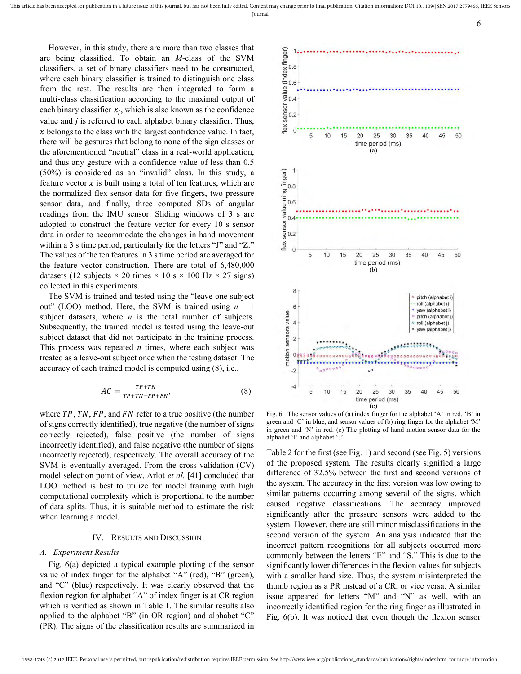However, in this study, there are more than two classes that are being classified. To obtain an *M-*class of the SVM classifiers, a set of binary classifiers need to be constructed, where each binary classifier is trained to distinguish one class from the rest. The results are then integrated to form a multi-class classification according to the maximal output of each binary classifier  $x_j$ , which is also known as the confidence value and  $j$  is referred to each alphabet binary classifier. Thus,  $x$  belongs to the class with the largest confidence value. In fact, there will be gestures that belong to none of the sign classes or the aforementioned "neutral" class in a real-world application, and thus any gesture with a confidence value of less than 0.5 (50%) is considered as an "invalid" class. In this study, a feature vector  $x$  is built using a total of ten features, which are the normalized flex sensor data for five fingers, two pressure sensor data, and finally, three computed SDs of angular readings from the IMU sensor. Sliding windows of 3 s are adopted to construct the feature vector for every 10 s sensor data in order to accommodate the changes in hand movement within a 3 s time period, particularly for the letters "J" and "Z." The values of the ten features in 3 s time period are averaged for the feature vector construction. There are total of 6,480,000 datasets (12 subjects  $\times$  20 times  $\times$  10 s  $\times$  100 Hz  $\times$  27 signs) collected in this experiments.

The SVM is trained and tested using the "leave one subject out" (LOO) method. Here, the SVM is trained using *n* – 1 subject datasets, where  $n$  is the total number of subjects. Subsequently, the trained model is tested using the leave-out subject dataset that did not participate in the training process. This process was repeated *n* times, where each subject was treated as a leave-out subject once when the testing dataset. The accuracy of each trained model is computed using (8), i.e.,

$$
AC = \frac{TP + TN}{TP + TN + FP + FN},\tag{8}
$$

where  $TP$ ,  $TN$ ,  $FP$ , and  $FN$  refer to a true positive (the number of signs correctly identified), true negative (the number of signs correctly rejected), false positive (the number of signs incorrectly identified), and false negative (the number of signs incorrectly rejected), respectively. The overall accuracy of the SVM is eventually averaged. From the cross-validation (CV) model selection point of view, Arlot *et al.* [41] concluded that LOO method is best to utilize for model training with high computational complexity which is proportional to the number of data splits. Thus, it is suitable method to estimate the risk when learning a model.

#### IV. RESULTS AND DISCUSSION

### *A. Experiment Results*

Fig. 6(a) depicted a typical example plotting of the sensor value of index finger for the alphabet "A" (red), "B" (green), and "C" (blue) respectively. It was clearly observed that the flexion region for alphabet "A" of index finger is at CR region which is verified as shown in Table 1. The similar results also applied to the alphabet "B" (in OR region) and alphabet "C" (PR). The signs of the classification results are summarized in



6

Fig. 6. The sensor values of (a) index finger for the alphabet 'A' in red, 'B' in green and 'C' in blue, and sensor values of (b) ring finger for the alphabet 'M' in green and 'N' in red. (c) The plotting of hand motion sensor data for the alphabet 'I' and alphabet 'J'.

Table 2 for the first (see Fig. 1) and second (see Fig. 5) versions of the proposed system. The results clearly signified a large difference of 32.5% between the first and second versions of the system. The accuracy in the first version was low owing to similar patterns occurring among several of the signs, which caused negative classifications. The accuracy improved significantly after the pressure sensors were added to the system. However, there are still minor misclassifications in the second version of the system. An analysis indicated that the incorrect pattern recognitions for all subjects occurred more commonly between the letters "E" and "S." This is due to the significantly lower differences in the flexion values for subjects with a smaller hand size. Thus, the system misinterpreted the thumb region as a PR instead of a CR, or vice versa. A similar issue appeared for letters "M" and "N" as well, with an incorrectly identified region for the ring finger as illustrated in Fig. 6(b). It was noticed that even though the flexion sensor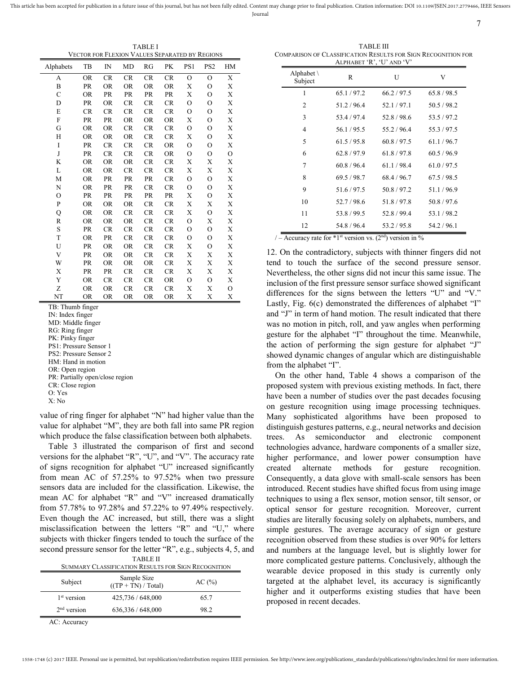This article has been accepted for publication in a future issue of this journal, but has not been fully edited. Content may change prior to final publication. Citation information: DOI 10.1109/JSEN.2017.2779466, IEEE Sens Journal

TABLE I VECTOR FOR FLEXION VALUES SEPARATED BY REGIONS

| Alphabets      | TB        | $_{\rm IN}$ | MD        | RG        | PK        | PS1            | PS <sub>2</sub> | HM             |
|----------------|-----------|-------------|-----------|-----------|-----------|----------------|-----------------|----------------|
| А              | <b>OR</b> | CR          | CR        | CR        | <b>CR</b> | $\Omega$       | $\Omega$        | X              |
| B              | PR        | <b>OR</b>   | <b>OR</b> | <b>OR</b> | <b>OR</b> | X              | $\circ$         | X              |
| $\overline{C}$ | <b>OR</b> | PR          | <b>PR</b> | <b>PR</b> | PR        | X              | $\overline{O}$  | X              |
| D              | PR        | <b>OR</b>   | CR        | CR        | CR        | $\mathbf O$    | $\overline{O}$  | X              |
| E              | <b>CR</b> | <b>CR</b>   | <b>CR</b> | <b>CR</b> | <b>CR</b> | $\overline{O}$ | $\overline{O}$  | X              |
| F              | PR        | PR          | <b>OR</b> | OR        | <b>OR</b> | X              | $\overline{O}$  | Х              |
| G              | <b>OR</b> | <b>OR</b>   | CR        | CR        | CR        | $\mathbf O$    | $\overline{O}$  | X              |
| H              | <b>OR</b> | <b>OR</b>   | <b>OR</b> | CR        | <b>CR</b> | X              | $\overline{O}$  | X              |
| I              | PR        | CR          | CR        | CR        | <b>OR</b> | $\circ$        | О               | Х              |
| J              | PR        | <b>CR</b>   | CR        | CR        | <b>OR</b> | $\overline{O}$ | $\overline{O}$  | $\overline{O}$ |
| K              | <b>OR</b> | <b>OR</b>   | OR        | CR        | CR        | Х              | X               | X              |
| L              | <b>OR</b> | <b>OR</b>   | CR        | CR        | CR        | X              | X               | X              |
| M              | <b>OR</b> | PR          | <b>PR</b> | PR        | <b>CR</b> | $\mathbf O$    | $\overline{O}$  | X              |
| N              | <b>OR</b> | PR          | PR        | CR        | CR        | $\mathbf O$    | О               | X              |
| $\circ$        | <b>PR</b> | <b>PR</b>   | <b>PR</b> | PR        | PR        | X              | $\overline{O}$  | X              |
| P              | <b>OR</b> | <b>OR</b>   | <b>OR</b> | CR        | <b>CR</b> | X              | X               | X              |
| Q              | <b>OR</b> | <b>OR</b>   | CR        | <b>CR</b> | <b>CR</b> | X              | $\overline{O}$  | X              |
| R              | <b>OR</b> | <b>OR</b>   | <b>OR</b> | <b>CR</b> | <b>CR</b> | $\mathbf O$    | X               | Х              |
| S              | PR        | CR          | CR        | CR        | <b>CR</b> | $\mathbf O$    | $\circ$         | X              |
| T              | <b>OR</b> | PR          | CR        | <b>CR</b> | CR        | $\overline{O}$ | $\overline{O}$  | X              |
| U              | PR        | <b>OR</b>   | <b>OR</b> | CR        | CR        | X              | $\overline{O}$  | Х              |
| V              | PR        | <b>OR</b>   | <b>OR</b> | CR        | CR        | X              | X               | X              |
| W              | PR        | <b>OR</b>   | <b>OR</b> | <b>OR</b> | <b>CR</b> | Х              | X               | Х              |
| X              | PR        | PR          | CR        | CR        | CR        | X              | Х               | X              |
| Y              | <b>OR</b> | <b>CR</b>   | CR        | <b>CR</b> | <b>OR</b> | $\mathbf O$    | $\overline{O}$  | X              |
| Z              | <b>OR</b> | <b>OR</b>   | CR        | CR        | CR        | X              | X               | O              |
| NT             | <b>OR</b> | <b>OR</b>   | <b>OR</b> | <b>OR</b> | <b>OR</b> | X              | X               | X              |

TB: Thumb finger

IN: Index finger

MD: Middle finger

RG: Ring finger

PK: Pinky finger

PS1: Pressure Sensor 1

PS2: Pressure Sensor 2

HM: Hand in motion

OR: Open region

PR: Partially open/close region

CR: Close region

O: Yes X: No

value of ring finger for alphabet "N" had higher value than the value for alphabet "M", they are both fall into same PR region which produce the false classification between both alphabets.

Table 3 illustrated the comparison of first and second versions for the alphabet "R", "U", and "V". The accuracy rate of signs recognition for alphabet "U" increased significantly from mean AC of 57.25% to 97.52% when two pressure sensors data are included for the classification. Likewise, the mean AC for alphabet "R" and "V" increased dramatically from 57.78% to 97.28% and 57.22% to 97.49% respectively. Even though the AC increased, but still, there was a slight misclassification between the letters "R" and "U," where subjects with thicker fingers tended to touch the surface of the second pressure sensor for the letter "R", e.g., subjects 4, 5, and TABLE II

| 1731212 11<br>SUMMARY CLASSIFICATION RESULTS FOR SIGN RECOGNITION |                                      |        |  |  |
|-------------------------------------------------------------------|--------------------------------------|--------|--|--|
| Subject                                                           | Sample Size<br>$((TP + TN) / Total)$ | AC (%) |  |  |
| 1 <sup>st</sup> version                                           | 425,736 / 648,000                    | 65.7   |  |  |
| $2nd$ version                                                     | 636,336 / 648,000                    | 98.2   |  |  |

AC: Accuracy

TABLE III COMPARISON OF CLASSIFICATION RESULTS FOR SIGN RECOGNITION FOR ALPHABET 'R', 'U' AND 'V'

7

| Alphabet $\setminus$<br>Subject | R           | U           | V           |
|---------------------------------|-------------|-------------|-------------|
| 1                               | 65.1/97.2   | 66.2/97.5   | 65.8/98.5   |
| $\overline{c}$                  | 51.2/96.4   | 52.1/97.1   | 50.5/98.2   |
| 3                               | 53.4/97.4   | 52.8/98.6   | 53.5/97.2   |
| 4                               | 56.1/95.5   | 55.2/96.4   | 55.3/97.5   |
| 5                               | 61.5/95.8   | 60.8 / 97.5 | 61.1 / 96.7 |
| 6                               | 62.8/97.9   | 61.8/97.8   | 60.5/96.9   |
| 7                               | 60.8/96.4   | 61.1/98.4   | 61.0 / 97.5 |
| 8                               | 69.5/98.7   | 68.4/96.7   | 67.5/98.5   |
| 9                               | 51.6/97.5   | 50.8/97.2   | 51.1/96.9   |
| 10                              | 52.7/98.6   | 51.8/97.8   | 50.8/97.6   |
| 11                              | 53.8/99.5   | 52.8/99.4   | 53.1/98.2   |
| 12                              | 54.8 / 96.4 | 53.2/95.8   | 54.2 / 96.1 |

/ – Accuracy rate for  $*1$ <sup>st</sup> version vs. (2<sup>nd</sup>) version in %

12. On the contradictory, subjects with thinner fingers did not tend to touch the surface of the second pressure sensor. Nevertheless, the other signs did not incur this same issue. The inclusion of the first pressure sensor surface showed significant differences for the signs between the letters "U" and "V." Lastly, Fig. 6(c) demonstrated the differences of alphabet "I" and "J" in term of hand motion. The result indicated that there was no motion in pitch, roll, and yaw angles when performing gesture for the alphabet "I" throughout the time. Meanwhile, the action of performing the sign gesture for alphabet "J" showed dynamic changes of angular which are distinguishable from the alphabet "I".

On the other hand, Table 4 shows a comparison of the proposed system with previous existing methods. In fact, there have been a number of studies over the past decades focusing on gesture recognition using image processing techniques. Many sophisticated algorithms have been proposed to distinguish gestures patterns, e.g., neural networks and decision trees. As semiconductor and electronic component technologies advance, hardware components of a smaller size, higher performance, and lower power consumption have created alternate methods for gesture recognition. Consequently, a data glove with small-scale sensors has been introduced. Recent studies have shifted focus from using image techniques to using a flex sensor, motion sensor, tilt sensor, or optical sensor for gesture recognition. Moreover, current studies are literally focusing solely on alphabets, numbers, and simple gestures. The average accuracy of sign or gesture recognition observed from these studies is over 90% for letters and numbers at the language level, but is slightly lower for more complicated gesture patterns. Conclusively, although the wearable device proposed in this study is currently only targeted at the alphabet level, its accuracy is significantly higher and it outperforms existing studies that have been proposed in recent decades.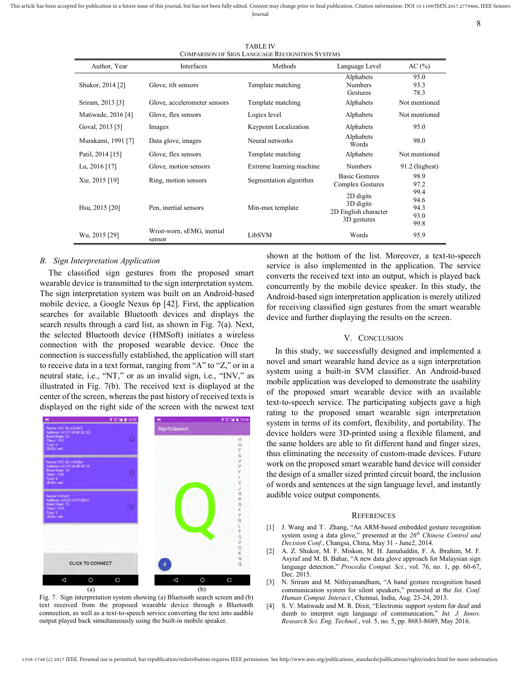This article has been accepted for publication in a future issue of this journal, but has not been fully edited. Content may change prior to final publication. Citation information: DOI 10.1109/JSEN.2017.2779466, IEEE Sens Journal

8

TABLE IV COMPARISON OF SIGN LANGUAGE RECOGNITION SYSTEMS

| COMPARISON OF SIGN LANGUAGE RECOGNITION STSTEMS |                                      |                          |                                                               |                      |  |  |
|-------------------------------------------------|--------------------------------------|--------------------------|---------------------------------------------------------------|----------------------|--|--|
| Author, Year                                    | Interfaces                           | Methods                  | Language Level                                                | AC(%)                |  |  |
| Shukor, 2014 [2]                                | Glove, tilt sensors                  | Template matching        | Alphabets<br>Numbers<br>Gestures                              | 95.0<br>93.3<br>78.3 |  |  |
| Sriram, 2013 [3]                                | Glove, accelerometer sensors         | Template matching        | Alphabets                                                     | Not mentioned        |  |  |
| Matiwade, 2016 [4]                              | Glove, flex sensors                  | Logics level             | Alphabets                                                     | Not mentioned        |  |  |
| Goval, 2013 [5]                                 | Images                               | Keypoint Localization    | Alphabets                                                     | 95.0                 |  |  |
| Murakami, 1991 [7]                              | Data glove, images                   | Neural networks          | Alphabets<br>Words                                            | 98.0                 |  |  |
| Patil, 2014 [15]                                | Glove, flex sensors                  | Template matching        | Alphabets                                                     | Not mentioned        |  |  |
| Lu, $2016$ [17]                                 | Glove, motion sensors                | Extreme learning machine | <b>Numbers</b>                                                | $91.2$ (highest)     |  |  |
| Xie, 2015 [19]                                  | Ring, motion sensors                 | Segmentation algorithm   | <b>Basic Gestures</b><br><b>Complex Gestures</b>              | 98.9<br>97.2<br>99.4 |  |  |
| Hsu, 2015 [20]                                  | Pen, inertial sensors                | Min-max template         | 2D digits<br>3D digits<br>2D English character<br>3D gestures |                      |  |  |
| Wu, 2015 [29]                                   | Wrist-worn, sEMG, inertial<br>sensor | LibSVM                   | Words                                                         | 95.9                 |  |  |

## *B. Sign Interpretation Application*

The classified sign gestures from the proposed smart wearable device is transmitted to the sign interpretation system. The sign interpretation system was built on an Android-based mobile device, a Google Nexus 6p [42]. First, the application searches for available Bluetooth devices and displays the search results through a card list, as shown in Fig. 7(a). Next, the selected Bluetooth device (HMSoft) initiates a wireless connection with the proposed wearable device. Once the connection is successfully established, the application will start to receive data in a text format, ranging from "A" to "Z," or in a neutral state, i.e., "NT," or as an invalid sign, i.e., "INV," as illustrated in Fig. 7(b). The received text is displayed at the center of the screen, whereas the past history of received texts is displayed on the right side of the screen with the newest text



Fig. 7. Sign interpretation system showing (a) Bluetooth search screen and (b) text received from the proposed wearable device through a Bluetooth connection, as well as a text-to-speech service converting the text into audible output played back simultaneously using the built-in mobile speaker.

shown at the bottom of the list. Moreover, a text-to-speech service is also implemented in the application. The service converts the received text into an output, which is played back concurrently by the mobile device speaker. In this study, the Android-based sign interpretation application is merely utilized for receiving classified sign gestures from the smart wearable device and further displaying the results on the screen.

## V. CONCLUSION

In this study, we successfully designed and implemented a novel and smart wearable hand device as a sign interpretation system using a built-in SVM classifier. An Android-based mobile application was developed to demonstrate the usability of the proposed smart wearable device with an available text-to-speech service. The participating subjects gave a high rating to the proposed smart wearable sign interpretation system in terms of its comfort, flexibility, and portability. The device holders were 3D-printed using a flexible filament, and the same holders are able to fit different hand and finger sizes, thus eliminating the necessity of custom-made devices. Future work on the proposed smart wearable hand device will consider the design of a smaller sized printed circuit board, the inclusion of words and sentences at the sign language level, and instantly audible voice output components.

#### **REFERENCES**

- [1] J. Wang and T. Zhang, "An ARM-based embedded gesture recognition system using a data glove," presented at the *26th Chinese Control and Decision Conf.*, Changsa, China, May 31 - June2, 2014.
- [2] A. Z. Shukor, M. F. Miskon, M. H. Jamaluddin, F. A. Ibrahim, M. F. Asyraf and M. B. Bahar, "A new data glove approach for Malaysian sign language detection," *Procedia Comput. Sci.*, vol. 76, no. 1, pp. 60-67, Dec. 2015.
- [3] N. Sriram and M. Nithiyanandham, "A hand gesture recognition based communication system for silent speakers," presented at the *Int. Conf. Human Comput. Interact.*, Chennai, India, Aug. 23-24, 2013.
- [4] S. V. Matiwade and M. R. Dixit, "Electronic support system for deaf and dumb to interpret sign language of communication," *Int. J. Innov. Research Sci. Eng. Technol.*, vol. 5, no. 5, pp. 8683-8689, May 2016.